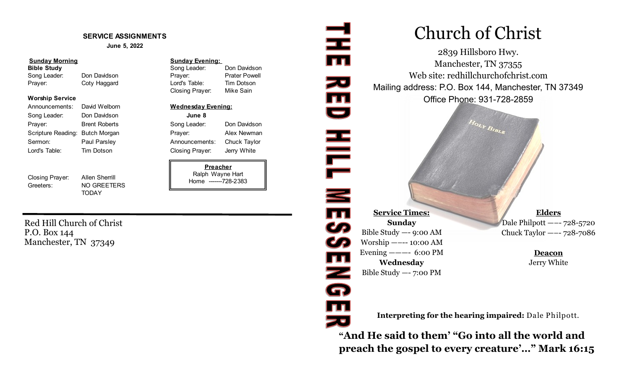#### **SERVICE ASSIGNMENTS**

**June 5, 2022**

#### **Sunday Morning Sunday Evening:**

Song Leader: Don Davidson Prayer: Prater Powell Prayer: Coty Haggard Lord's Table: Tim Dotson

#### **Worship Service**

Announcements: David Welborn **Wednesday Evening:** Song Leader: Don Davidson **June 8** Prayer: Brent Roberts Song Leader: Don Davidson Scripture Reading: Butch Morgan **Prayer:** Alex Newman Sermon: Paul Parsley **Announcements:** Chuck Taylor Lord's Table: Tim Dotson Closing Prayer: Jerry White

Closing Prayer: Allen Sherrill Greeters: NO GREETERS

**TODAY** 

**Bible Study Solution Study** Song Leader: Don Davidson Closing Prayer: Mike Sain

**Preacher** Ralph Wayne Hart Home -------728-2383

Red Hill Church of Christ P.O. Box 144 Manchester, TN 37349

# Church of Christ

2839 Hillsboro Hwy. Manchester, TN 37355 Web site: redhillchurchofchrist.com Mailing address: P.O. Box 144, Manchester, TN 37349 Office Phone: 931-728-2859

Hour Bistis

**Service Times: Sunday** Bible Study —- 9:00 AM Worship —–-- 10:00 AM Evening  $--- 6:00 \text{ PM}$ **Wednesday** Bible Study —- 7:00 PM

로

zu<br>III<br>U

HILL NE39

 $\overline{\mathbf{m}}$ 

Z<br>G

**TI** 

**Elders** Dale Philpott —–- 728-5720 Chuck Taylor —–- 728-7086

> **Deacon** Jerry White

**Interpreting for the hearing impaired:** Dale Philpott.

**"And He said to them' "Go into all the world and preach the gospel to every creature'…" Mark 16:15**